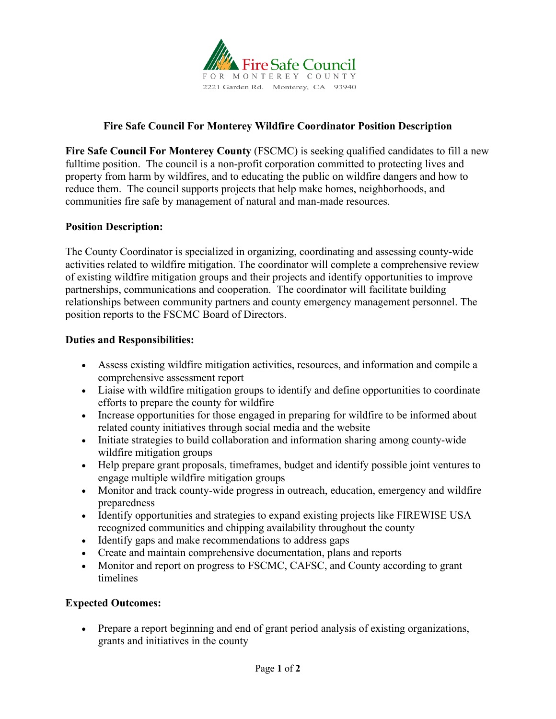

# **Fire Safe Council For Monterey Wildfire Coordinator Position Description**

**Fire Safe Council For Monterey County** (FSCMC) is seeking qualified candidates to fill a new fulltime position. The council is a non-profit corporation committed to protecting lives and property from harm by wildfires, and to educating the public on wildfire dangers and how to reduce them. The council supports projects that help make homes, neighborhoods, and communities fire safe by management of natural and man-made resources.

#### **Position Description:**

The County Coordinator is specialized in organizing, coordinating and assessing county-wide activities related to wildfire mitigation. The coordinator will complete a comprehensive review of existing wildfire mitigation groups and their projects and identify opportunities to improve partnerships, communications and cooperation. The coordinator will facilitate building relationships between community partners and county emergency management personnel. The position reports to the FSCMC Board of Directors.

#### **Duties and Responsibilities:**

- Assess existing wildfire mitigation activities, resources, and information and compile a comprehensive assessment report
- Liaise with wildfire mitigation groups to identify and define opportunities to coordinate efforts to prepare the county for wildfire
- Increase opportunities for those engaged in preparing for wildfire to be informed about related county initiatives through social media and the website
- Initiate strategies to build collaboration and information sharing among county-wide wildfire mitigation groups
- Help prepare grant proposals, timeframes, budget and identify possible joint ventures to engage multiple wildfire mitigation groups
- Monitor and track county-wide progress in outreach, education, emergency and wildfire preparedness
- Identify opportunities and strategies to expand existing projects like FIREWISE USA recognized communities and chipping availability throughout the county
- Identify gaps and make recommendations to address gaps
- Create and maintain comprehensive documentation, plans and reports
- Monitor and report on progress to FSCMC, CAFSC, and County according to grant timelines

### **Expected Outcomes:**

• Prepare a report beginning and end of grant period analysis of existing organizations, grants and initiatives in the county